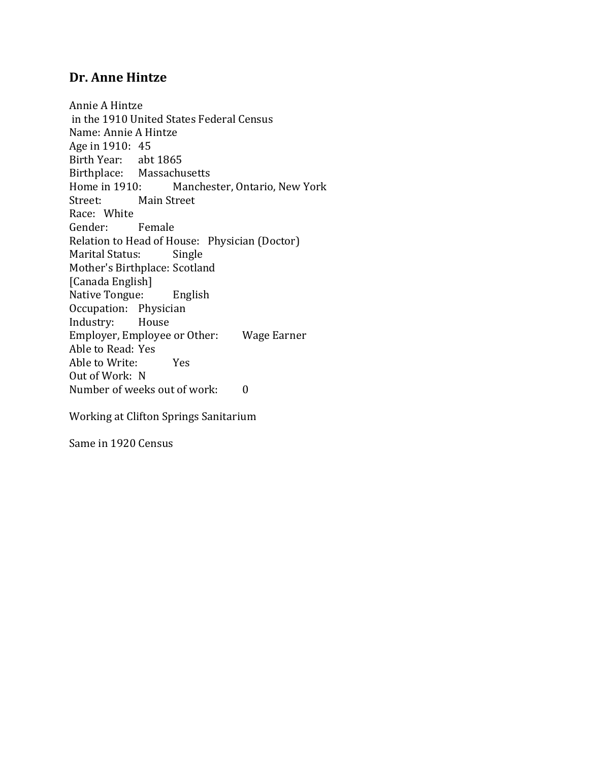# **Dr. Anne Hintze**

Annie A Hintze in the 1910 United States Federal Census Name: Annie A Hintze Age in 1910: 45 Birth Year: abt 1865 Birthplace: Massachusetts Home in 1910: Manchester, Ontario, New York Street: Main Street Race: White Gender: Female Relation to Head of House: Physician (Doctor) Marital Status: Single Mother's Birthplace: Scotland [Canada English] Native Tongue: English Occupation: Physician Industry: House Employer, Employee or Other: Wage Earner Able to Read: Yes Able to Write: Yes Out of Work: N Number of weeks out of work: 0

Working at Clifton Springs Sanitarium

Same in 1920 Census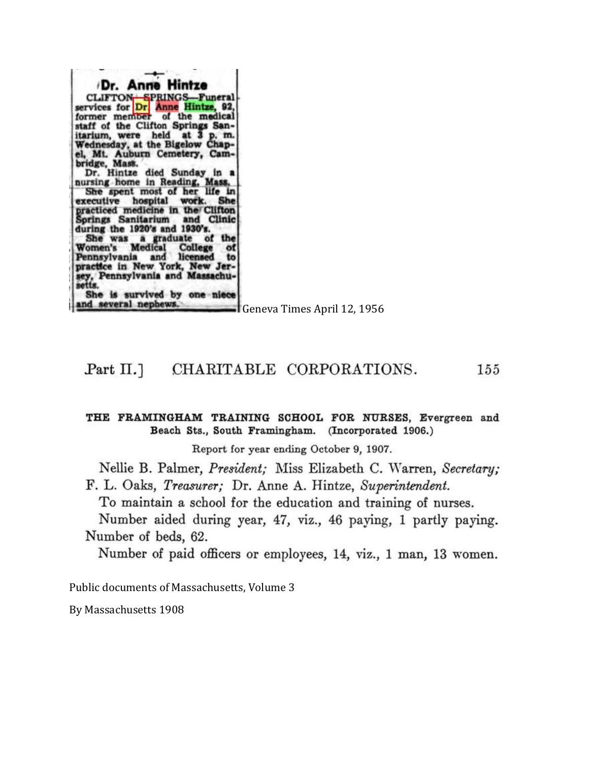| Dr. Anne Hintze                                               |                         |
|---------------------------------------------------------------|-------------------------|
| CLIFTON SPRINGS Funeral                                       |                         |
| services for Dr Anne Hintze, 92,                              |                         |
| former member of the medical                                  |                         |
| staff of the Clifton Springs San-                             |                         |
| itarium, were held at 3 p.m.                                  |                         |
| Wednesday, at the Bigelow Chap-                               |                         |
| el, Mt. Auburn Cemetery, Cam-                                 |                         |
| bridge, Mass.                                                 |                         |
| Dr. Hintze died Sunday in a<br>nursing home in Reading, Mass. |                         |
| She spent most of her life in                                 |                         |
| executive hospital work. She                                  |                         |
| practiced medicine in the Clifton                             |                         |
| Springs Sanitarium and Clinic                                 |                         |
| during the 1920's and 1930's.                                 |                         |
| She was a graduate of the                                     |                         |
| Women's Medical College of                                    |                         |
| Pennsylvania and licensed to                                  |                         |
| practice in New York, New Jer-                                |                         |
| sey, Pennsylvania and Massachu-<br>setts.                     |                         |
| She is survived by one niece                                  |                         |
| and several nephews.                                          |                         |
|                                                               | $C_{\alpha\alpha\beta}$ |

Geneva Times April 12, 1956

#### Part  $\Pi$ .] CHARITABLE CORPORATIONS. 155

#### THE FRAMINGHAM TRAINING SCHOOL FOR NURSES, Evergreen and Beach Sts., South Framingham. (Incorporated 1906.)

Report for year ending October 9, 1907.

Nellie B. Palmer, President; Miss Elizabeth C. Warren, Secretary;

F. L. Oaks, Treasurer; Dr. Anne A. Hintze, Superintendent.

To maintain a school for the education and training of nurses.

Number aided during year, 47, viz., 46 paying, 1 partly paying. Number of beds, 62.

Number of paid officers or employees, 14, viz., 1 man, 13 women.

Public documents of Massachusetts, Volume 3

By Massachusetts 1908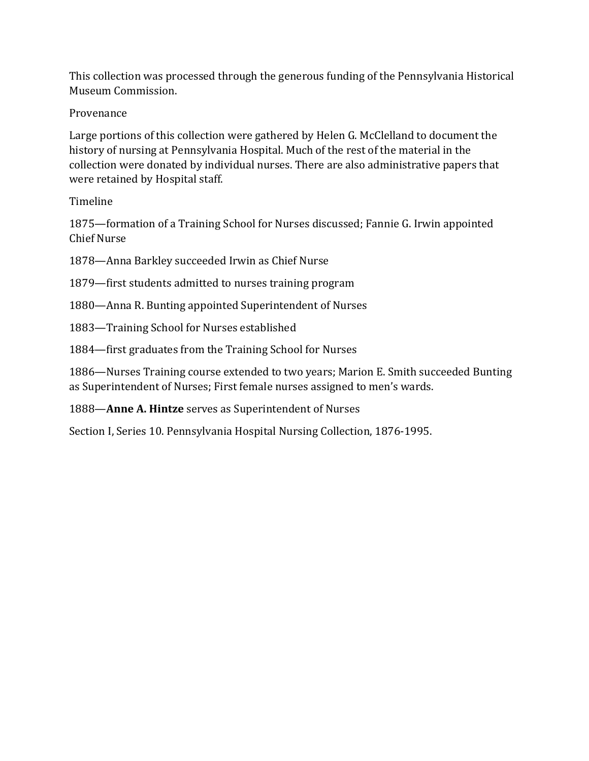This collection was processed through the generous funding of the Pennsylvania Historical Museum Commission.

## Provenance

Large portions of this collection were gathered by Helen G. McClelland to document the history of nursing at Pennsylvania Hospital. Much of the rest of the material in the collection were donated by individual nurses. There are also administrative papers that were retained by Hospital staff.

## Timeline

1875—formation of a Training School for Nurses discussed; Fannie G. Irwin appointed Chief Nurse

- 1878—Anna Barkley succeeded Irwin as Chief Nurse
- 1879—first students admitted to nurses training program
- 1880—Anna R. Bunting appointed Superintendent of Nurses
- 1883—Training School for Nurses established
- 1884—first graduates from the Training School for Nurses

1886—Nurses Training course extended to two years; Marion E. Smith succeeded Bunting as Superintendent of Nurses; First female nurses assigned to men's wards.

## 1888—**Anne A. Hintze** serves as Superintendent of Nurses

Section I, Series 10. Pennsylvania Hospital Nursing Collection, 1876-1995.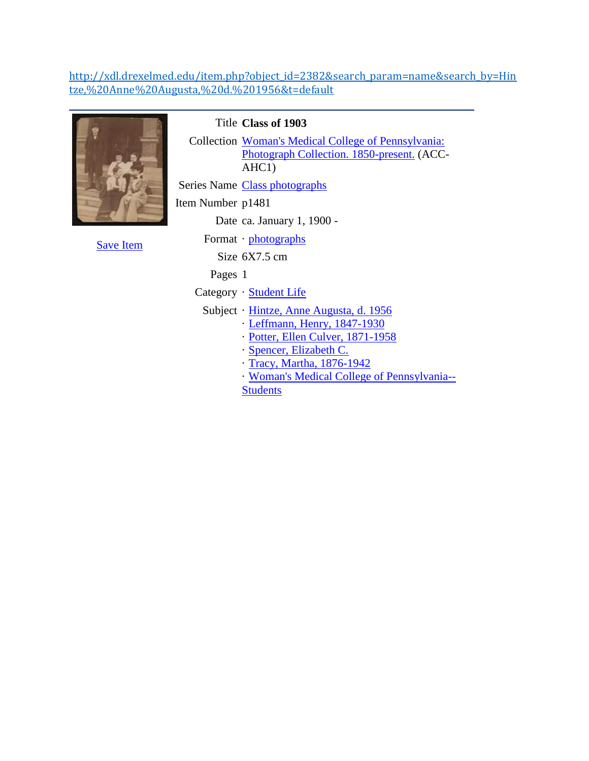### [http://xdl.drexelmed.edu/item.php?object\\_id=2382&search\\_param=name&search\\_by=Hin](http://xdl.drexelmed.edu/item.php?object_id=2382&search_param=name&search_by=Hintze,%20Anne%20Augusta,%20d.%201956&t=default) [tze,%20Anne%20Augusta,%20d.%201956&t=default](http://xdl.drexelmed.edu/item.php?object_id=2382&search_param=name&search_by=Hintze,%20Anne%20Augusta,%20d.%201956&t=default)



Title **Class of 1903**

Collection [Woman's Medical College of Pennsylvania:](http://xdl.drexelmed.edu/xsearch.php?search_by=Woman%27s%20Medical%20College%20of%20Pennsylvania:%20Photograph%20Collection.%201850-present.&search_param=collection&mode=exact&t=default)  [Photograph Collection. 1850-present.](http://xdl.drexelmed.edu/xsearch.php?search_by=Woman%27s%20Medical%20College%20of%20Pennsylvania:%20Photograph%20Collection.%201850-present.&search_param=collection&mode=exact&t=default) (ACC-AHC1)

Series Name [Class photographs](http://xdl.drexelmed.edu/xsearch.php?search_by=Class%20photographs&search_param=series&t=default)

Item Number p1481

Date ca. January 1, 1900 -

[Save Item](http://xdl.drexelmed.edu/process_saved.php?action=add&object_id=2382&t=default)

Format · [photographs](http://xdl.drexelmed.edu/xsearch.php?search_by=photographs&search_param=format&t=default)

Size 6X7.5 cm

Pages 1

Category · [Student Life](http://xdl.drexelmed.edu/xsearch.php?search_by=Student%20Life&search_param=category&mode=exact&t=default)

Subject · [Hintze, Anne Augusta, d. 1956](http://xdl.drexelmed.edu/xsearch.php?search_by=Hintze,%20Anne%20Augusta,%20d.%201956&search_param=name&mode=exact&t=default)

- · [Leffmann, Henry, 1847-1930](http://xdl.drexelmed.edu/xsearch.php?search_by=Leffmann,%20Henry,%201847-1930&search_param=name&mode=exact&t=default)
- · [Potter, Ellen Culver, 1871-1958](http://xdl.drexelmed.edu/xsearch.php?search_by=Potter,%20Ellen%20Culver,%201871-1958&search_param=name&mode=exact&t=default)
- · [Spencer, Elizabeth C.](http://xdl.drexelmed.edu/xsearch.php?search_by=Spencer,%20Elizabeth%20C.&search_param=name&mode=exact&t=default)
- · [Tracy, Martha, 1876-1942](http://xdl.drexelmed.edu/xsearch.php?search_by=Tracy,%20Martha,%201876-1942&search_param=name&mode=exact&t=default)
- · [Woman's Medical College of Pennsylvania--](http://xdl.drexelmed.edu/xsearch.php?search_by=Woman%27s%20Medical%20College%20of%20Pennsylvania--Students&search_param=name&mode=exact&t=default) **[Students](http://xdl.drexelmed.edu/xsearch.php?search_by=Woman%27s%20Medical%20College%20of%20Pennsylvania--Students&search_param=name&mode=exact&t=default)**